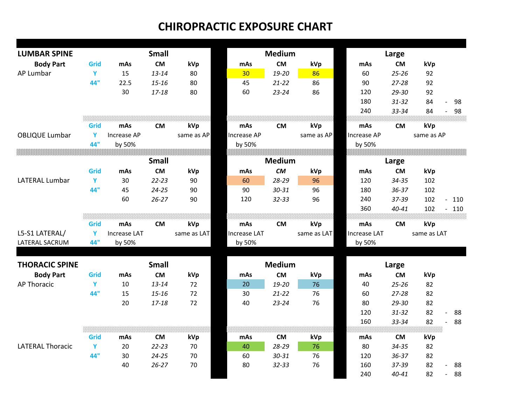| <b>LUMBAR SPINE</b>     |      |                     | <b>Small</b> |             |                     | <b>Medium</b> |             |                     | Large     |             |                       |
|-------------------------|------|---------------------|--------------|-------------|---------------------|---------------|-------------|---------------------|-----------|-------------|-----------------------|
| <b>Body Part</b>        | Grid | mAs                 | <b>CM</b>    | kVp         | mAs                 | <b>CM</b>     | kVp         | mAs                 | <b>CM</b> | kVp         |                       |
| AP Lumbar               | Y    | 15                  | $13 - 14$    | 80          | 30 <sub>o</sub>     | 19-20         | 86          | 60                  | $25 - 26$ | 92          |                       |
|                         | 44"  | 22.5                | $15 - 16$    | 80          | 45                  | $21 - 22$     | 86          | 90                  | $27 - 28$ | 92          |                       |
|                         |      | 30                  | $17 - 18$    | 80          | 60                  | $23 - 24$     | 86          | 120                 | 29-30     | 92          |                       |
|                         |      |                     |              |             |                     |               |             | 180                 | $31 - 32$ | 84          | 98<br>$\overline{a}$  |
|                         |      |                     |              |             |                     |               |             | 240                 | 33-34     | 84          | 98                    |
|                         | Grid | mAs                 | <b>CM</b>    | kVp         | mAs                 | <b>CM</b>     | kVp         | mAs                 | <b>CM</b> | kVp         |                       |
| <b>OBLIQUE Lumbar</b>   | Y    | Increase AP         |              | same as AP  | Increase AP         |               | same as AP  | Increase AP         |           | same as AP  |                       |
|                         | 44"  | by 50%              |              |             | by 50%              |               |             | by 50%              |           |             |                       |
|                         |      |                     |              |             |                     |               |             |                     |           |             |                       |
|                         |      |                     | <b>Small</b> |             |                     | <b>Medium</b> |             |                     | Large     |             |                       |
|                         | Grid | mAs                 | <b>CM</b>    | kVp         | mAs                 | <b>CM</b>     | kVp         | mAs                 | <b>CM</b> | kVp         |                       |
| <b>LATERAL Lumbar</b>   | Y    | 30                  | $22 - 23$    | 90          | 60                  | 28-29         | 96          | 120                 | 34-35     | 102         |                       |
|                         | 44"  | 45                  | $24 - 25$    | 90          | 90                  | 30-31         | 96          | 180                 | $36 - 37$ | 102         |                       |
|                         |      | 60                  | $26 - 27$    | 90          | 120                 | $32 - 33$     | 96          | 240                 | 37-39     | 102         | 110<br>$\overline{a}$ |
|                         |      |                     |              |             |                     |               |             | 360                 | $40 - 41$ | 102         | 110<br>$\blacksquare$ |
|                         |      |                     |              |             |                     |               |             |                     |           |             |                       |
|                         | Grid | mAs                 | <b>CM</b>    | kVp         | mAs                 | <b>CM</b>     | kVp         | mAs                 | <b>CM</b> | kVp         |                       |
| L5-S1 LATERAL/          | Y    | <b>Increase LAT</b> |              | same as LAT | <b>Increase LAT</b> |               | same as LAT | <b>Increase LAT</b> |           | same as LAT |                       |
| LATERAL SACRUM          | 44"  | by 50%              |              |             | by 50%              |               |             | by 50%              |           |             |                       |
|                         |      |                     |              |             |                     |               |             |                     |           |             |                       |
| <b>THORACIC SPINE</b>   |      |                     | <b>Small</b> |             |                     | <b>Medium</b> |             |                     | Large     |             |                       |
| <b>Body Part</b>        | Grid | mAs                 | <b>CM</b>    | kVp         | mAs                 | ${\sf CM}$    | kVp         | mAs                 | <b>CM</b> | kVp         |                       |
| <b>AP Thoracic</b>      | Y    | 10                  | $13 - 14$    | 72          | 20                  | 19-20         | 76          | 40                  | $25 - 26$ | 82          |                       |
|                         | 44"  | 15                  | $15 - 16$    | 72          | 30                  | $21 - 22$     | 76          | 60                  | $27 - 28$ | 82          |                       |
|                         |      | 20                  | $17 - 18$    | 72          | 40                  | $23 - 24$     | 76          | 80                  | 29-30     | 82          |                       |
|                         |      |                     |              |             |                     |               |             | 120                 | $31 - 32$ | 82          | 88                    |
|                         |      |                     |              |             |                     |               |             | 160                 | 33-34     | 82          | 88                    |
|                         |      |                     |              |             |                     |               |             |                     |           |             |                       |
|                         | Grid | mAs                 | <b>CM</b>    | kVp         | mAs                 | <b>CM</b>     | kVp         | mAs                 | <b>CM</b> | kVp         |                       |
| <b>LATERAL Thoracic</b> | Y    | 20                  | $22 - 23$    | 70          | 40                  | 28-29         | 76          | 80                  | 34-35     | 82          |                       |
|                         | 44"  | 30                  | $24 - 25$    | 70          | 60                  | $30 - 31$     | 76          | 120                 | $36 - 37$ | 82          |                       |
|                         |      | 40                  | $26 - 27$    | 70          | 80                  | $32 - 33$     | 76          | 160                 | 37-39     | 82          | 88                    |
|                         |      |                     |              |             |                     |               |             | 240                 | $40 - 41$ | 82          | 88                    |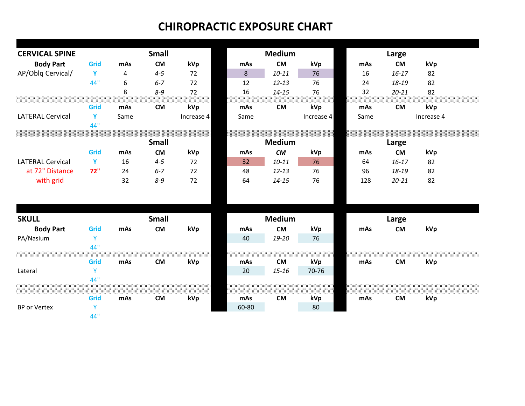| <b>CERVICAL SPINE</b>   |              |      | <b>Small</b> |            | <b>Medium</b><br>Large |               |            |       |           |            |  |
|-------------------------|--------------|------|--------------|------------|------------------------|---------------|------------|-------|-----------|------------|--|
| <b>Body Part</b>        | Grid         | mAs  | <b>CM</b>    | kVp        | mAs                    | <b>CM</b>     | kVp        | mAs   | <b>CM</b> | kVp        |  |
| AP/Oblq Cervical/       | $\mathbf{Y}$ | 4    | $4 - 5$      | 72         | 8                      | $10 - 11$     | 76         | 16    | $16 - 17$ | 82         |  |
|                         | 44"          | 6    | $6 - 7$      | 72         | 12                     | $12 - 13$     | 76         | 24    | 18-19     | 82         |  |
|                         |              | 8    | $8 - 9$      | 72         | 16                     | $14 - 15$     | 76         | 32    | $20 - 21$ | 82         |  |
|                         |              |      |              | kVp        |                        | <b>CM</b>     | kVp        |       |           | kVp        |  |
|                         | Grid<br>Y    | mAs  | <b>CM</b>    |            | mAs                    |               |            | mAs   | <b>CM</b> |            |  |
| <b>LATERAL Cervical</b> | 44"          | Same |              | Increase 4 | Same                   |               | Increase 4 | Same  |           | Increase 4 |  |
|                         |              |      |              |            |                        |               |            |       |           |            |  |
|                         |              |      | <b>Small</b> |            |                        | <b>Medium</b> |            | Large |           |            |  |
|                         | Grid         | mAs  | <b>CM</b>    | kVp        | mAs                    | CM            | kVp        | mAs   | <b>CM</b> | kVp        |  |
| <b>LATERAL Cervical</b> | $\mathbf{Y}$ | 16   | $4 - 5$      | 72         | 32                     | $10 - 11$     | 76         | 64    | $16 - 17$ | 82         |  |
| at 72" Distance         | 72"          | 24   | $6 - 7$      | 72         | 48                     | $12 - 13$     | 76         | 96    | 18-19     | 82         |  |
| with grid               |              | 32   | $8 - 9$      | 72         | 64                     | $14 - 15$     | 76         | 128   | $20 - 21$ | 82         |  |
|                         |              |      |              |            |                        |               |            |       |           |            |  |
| <b>SKULL</b>            |              |      | <b>Small</b> |            |                        | <b>Medium</b> |            |       | Large     |            |  |
| <b>Body Part</b>        | Grid         | mAs  | <b>CM</b>    | kVp        | mAs                    | <b>CM</b>     | kVp        | mAs   | <b>CM</b> | kVp        |  |
| PA/Nasium               | Y            |      |              |            | 40                     | 19-20         | 76         |       |           |            |  |
|                         | 44"          |      |              |            |                        |               |            |       |           |            |  |
|                         | Grid         | mAs  | <b>CM</b>    | kVp        | mAs                    | <b>CM</b>     | kVp        | mAs   | <b>CM</b> | kVp        |  |
| Lateral                 | Y            |      |              |            | 20                     | $15 - 16$     | 70-76      |       |           |            |  |
|                         | 44"          |      |              |            |                        |               |            |       |           |            |  |
|                         | Grid         | mAs  | <b>CM</b>    | kVp        | mAs                    | <b>CM</b>     | kVp        | mAs   | <b>CM</b> | kVp        |  |
| <b>BP or Vertex</b>     | Y            |      |              |            | 60-80                  |               | 80         |       |           |            |  |
|                         | 44"          |      |              |            |                        |               |            |       |           |            |  |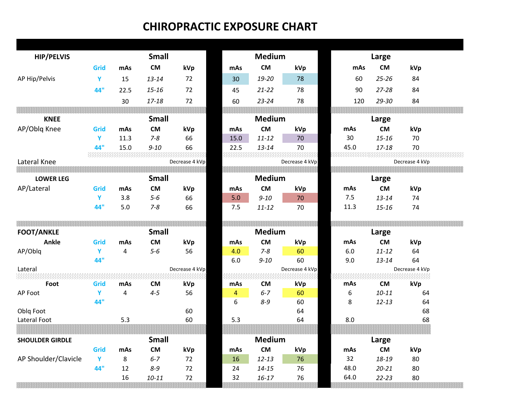| <b>HIP/PELVIS</b>                                                                 |             |          | <b>Small</b>         |                |          | <b>Medium</b>          |                |              | Large                  |                |  |
|-----------------------------------------------------------------------------------|-------------|----------|----------------------|----------------|----------|------------------------|----------------|--------------|------------------------|----------------|--|
|                                                                                   | Grid        | mAs      | <b>CM</b>            | kVp            | mAs      | CM                     | kVp            | mAs          | <b>CM</b>              | kVp            |  |
| AP Hip/Pelvis                                                                     | Y           | 15       | $13 - 14$            | 72             | 30       | 19-20                  | 78             | 60           | $25 - 26$              | 84             |  |
|                                                                                   | 44"         | 22.5     | $15 - 16$            | 72             | 45       | $21 - 22$              | 78             | 90           | $27 - 28$              | 84             |  |
|                                                                                   |             | 30       | 17-18                | 72             | 60       | $23 - 24$              | 78             | 120          | 29-30                  | 84             |  |
|                                                                                   |             |          |                      |                |          |                        |                |              |                        |                |  |
| <b>KNEE</b>                                                                       |             |          | <b>Small</b>         |                |          | <b>Medium</b>          |                |              | Large                  |                |  |
| AP/Oblq Knee                                                                      | Grid        | mAs      | <b>CM</b>            | kVp            | mAs      | $\mathsf{CM}$          | kVp            | mAs          | <b>CM</b>              | kVp            |  |
|                                                                                   | Y           | 11.3     | $7 - 8$              | 66             | 15.0     | $11 - 12$              | 70             | 30           | $15 - 16$              | 70             |  |
|                                                                                   | 44"         | 15.0     | $9 - 10$             | 66             | 22.5     | $13 - 14$              | 70             | 45.0         | $17 - 18$              | 70             |  |
| Lateral Knee                                                                      |             |          |                      | Decrease 4 kVp |          |                        | Decrease 4 kVp |              |                        | Decrease 4 kVp |  |
|                                                                                   |             |          |                      |                |          |                        |                |              |                        |                |  |
| <b>LOWER LEG</b>                                                                  |             |          | <b>Small</b>         |                |          | <b>Medium</b>          |                |              | Large                  |                |  |
| AP/Lateral                                                                        | Grid        | mAs      | <b>CM</b>            | kVp            | mAs      | <b>CM</b>              | kVp            | mAs          | <b>CM</b>              | kVp            |  |
|                                                                                   | Y           | 3.8      | $5-6$                | 66             | 5.0      | $9 - 10$               | 70             | 7.5          | $13 - 14$              | 74             |  |
|                                                                                   | 44"         | 5.0      | $7 - 8$              | 66             | 7.5      | $11 - 12$              | 70             | 11.3         | $15 - 16$              | 74             |  |
|                                                                                   |             |          |                      |                |          |                        |                |              |                        |                |  |
| <b>FOOT/ANKLE</b>                                                                 |             |          | <b>Small</b>         |                |          | <b>Medium</b>          |                |              | Large                  |                |  |
| <b>Ankle</b>                                                                      | <b>Grid</b> | mAs      | <b>CM</b>            | kVp            | mAs      | <b>CM</b>              | kVp            | mAs          | <b>CM</b>              | kVp            |  |
| AP/Oblq                                                                           |             |          |                      |                | 4.0      |                        |                |              |                        |                |  |
|                                                                                   | Y           | 4        | $5-6$                | 56             |          | $7 - 8$                | 60             | 6.0          | $11 - 12$              | 64             |  |
|                                                                                   | 44"         |          |                      |                | 6.0      | $9 - 10$               | 60             | 9.0          | $13 - 14$              | 64             |  |
|                                                                                   |             |          |                      | Decrease 4 kVp |          |                        | Decrease 4 kVp |              |                        | Decrease 4 kVp |  |
| Foot                                                                              | Grid        | mAs      | <b>CM</b>            |                | mAs      | <b>CM</b>              |                | mAs          | <b>CM</b>              |                |  |
|                                                                                   | Y           | 4        | $4 - 5$              | kVp<br>56      | 4        | $6 - 7$                | kVp<br>60      | 6            | $10 - 11$              | kVp<br>64      |  |
|                                                                                   | 44"         |          |                      |                | 6        | $8 - 9$                | 60             | 8            | $12 - 13$              | 64             |  |
|                                                                                   |             |          |                      | 60             |          |                        | 64             |              |                        | 68             |  |
|                                                                                   |             | 5.3      |                      | 60             | 5.3      |                        | 64             | 8.0          |                        | 68             |  |
|                                                                                   |             |          |                      |                |          |                        |                |              |                        |                |  |
|                                                                                   |             |          | <b>Small</b>         |                |          | <u>iviedium</u>        |                |              | Large                  |                |  |
| Lateral<br>maaa<br>AP Foot<br>Oblq Foot<br>Lateral Foot<br><b>SHOULDER GIRDLE</b> | Grid        | mAs      | <b>CM</b>            | kVp            | mAs      | <b>CM</b>              | kVp            | mAs          | <b>CM</b>              | kVp            |  |
|                                                                                   | Y           | 8        | $6 - 7$              | 72             | 16       | $12 - 13$              | 76             | 32           | 18-19                  | 80             |  |
| AP Shoulder/Clavicle                                                              | 44"         | 12<br>16 | $8 - 9$<br>$10 - 11$ | 72<br>72       | 24<br>32 | $14 - 15$<br>$16 - 17$ | 76<br>76       | 48.0<br>64.0 | $20 - 21$<br>$22 - 23$ | 80<br>80       |  |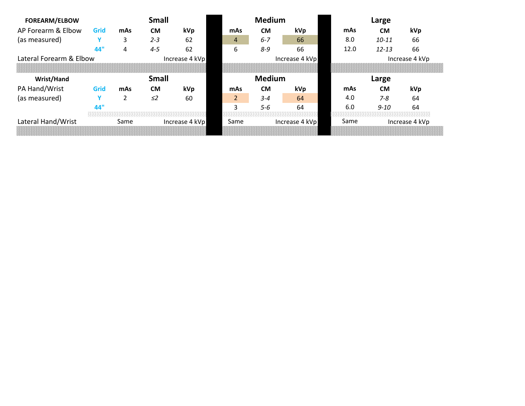| <b>FOREARM/ELBOW</b>    |             |      | <b>Small</b> |                |  |                | <b>Medium</b> |                |       | Large     |                |  |
|-------------------------|-------------|------|--------------|----------------|--|----------------|---------------|----------------|-------|-----------|----------------|--|
| AP Forearm & Elbow      | <b>Grid</b> | mAs  | <b>CM</b>    | kVp            |  | mAs            | <b>CM</b>     | kVp            | mAs   | <b>CM</b> | kVp            |  |
| (as measured)           |             | 3    | $2 - 3$      | 62             |  | 4              | $6 - 7$       | 66             | 8.0   | $10 - 11$ | 66             |  |
|                         | 44'         | 4    | $4 - 5$      | 62             |  | 6              | $8 - 9$       | 66             | 12.0  | $12 - 13$ | 66             |  |
| Lateral Forearm & Elbow |             |      |              | Increase 4 kVp |  |                |               | Increase 4 kVp |       |           | Increase 4 kVp |  |
|                         |             |      |              |                |  |                |               |                |       |           |                |  |
| <b>Wrist/Hand</b>       |             |      | <b>Small</b> |                |  |                | <b>Medium</b> |                | Large |           |                |  |
| PA Hand/Wrist           | Grid        | mAs  | <b>CM</b>    | kVp            |  | mAs            | <b>CM</b>     | <b>kVp</b>     | mAs   | <b>CM</b> | kVp            |  |
| (as measured)           |             |      | $\leq$ 2     | 60             |  | $\overline{2}$ | $3 - 4$       | 64             | 4.0   | $7 - 8$   | 64             |  |
|                         | 44'         |      |              |                |  | ς              | 5-6           | 64             | 6.0   | $9 - 10$  | 64             |  |
|                         |             |      |              |                |  |                |               |                |       |           |                |  |
| Lateral Hand/Wrist      |             | Same |              | Increase 4 kVp |  | Same           |               | Increase 4 kVp | Same  |           | Increase 4 kVp |  |
|                         |             |      |              |                |  |                |               |                |       |           |                |  |